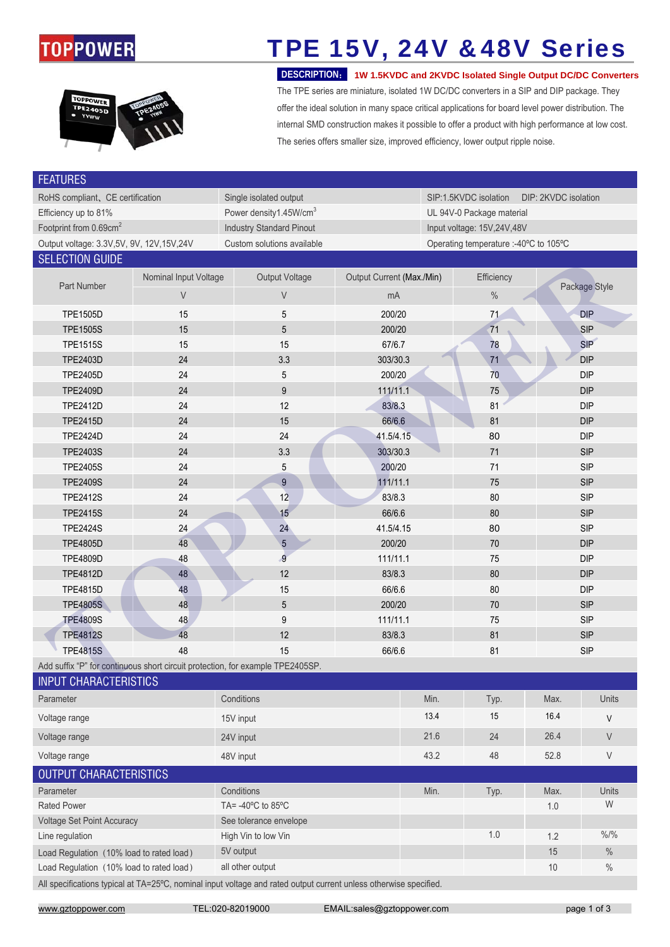### **TOPPOWER**



# TPE 15V, 24V &48V Series

 **DESCRIPTION**: **1W 1.5KVDC and 2KVDC Isolated Single Output DC/DC Converters** The TPE series are miniature, isolated 1W DC/DC converters in a SIP and DIP package. They offer the ideal solution in many space critical applications for board level power distribution. The internal SMD construction makes it possible to offer a product with high performance at low cost. The series offers smaller size, improved efficiency, lower output ripple noise.

| <b>FEATURES</b>                                                                                                   |                       |                                                                                |                           |                                               |            |                  |  |  |  |  |  |
|-------------------------------------------------------------------------------------------------------------------|-----------------------|--------------------------------------------------------------------------------|---------------------------|-----------------------------------------------|------------|------------------|--|--|--|--|--|
| RoHS compliant, CE certification                                                                                  |                       | Single isolated output                                                         |                           | SIP:1.5KVDC isolation<br>DIP: 2KVDC isolation |            |                  |  |  |  |  |  |
| Efficiency up to 81%                                                                                              |                       | Power density1.45W/cm <sup>3</sup>                                             |                           | UL 94V-0 Package material                     |            |                  |  |  |  |  |  |
| Footprint from 0.69cm <sup>2</sup>                                                                                |                       | <b>Industry Standard Pinout</b>                                                |                           | Input voltage: 15V,24V,48V                    |            |                  |  |  |  |  |  |
| Output voltage: 3.3V, 5V, 9V, 12V, 15V, 24V                                                                       |                       | Custom solutions available                                                     |                           | Operating temperature :- 40°C to 105°C        |            |                  |  |  |  |  |  |
| <b>SELECTION GUIDE</b>                                                                                            |                       |                                                                                |                           |                                               |            |                  |  |  |  |  |  |
|                                                                                                                   | Nominal Input Voltage | <b>Output Voltage</b>                                                          | Output Current (Max./Min) | Efficiency                                    |            |                  |  |  |  |  |  |
| Part Number                                                                                                       | V                     | V                                                                              | mA                        | $\%$                                          |            | Package Style    |  |  |  |  |  |
| <b>TPE1505D</b>                                                                                                   | 15                    | 5                                                                              | 200/20                    | 71                                            |            | <b>DIP</b>       |  |  |  |  |  |
| <b>TPE1505S</b>                                                                                                   | 15                    | 5                                                                              | 200/20                    | 71                                            |            | <b>SIP</b>       |  |  |  |  |  |
| <b>TPE1515S</b>                                                                                                   | 15                    | 15                                                                             | 67/6.7                    | 78                                            | SIP        |                  |  |  |  |  |  |
| <b>TPE2403D</b>                                                                                                   | 24                    | 3.3                                                                            | 303/30.3                  | 71                                            | <b>DIP</b> |                  |  |  |  |  |  |
| <b>TPE2405D</b>                                                                                                   | 24                    | 5                                                                              | 200/20                    | 70                                            |            | <b>DIP</b>       |  |  |  |  |  |
| <b>TPE2409D</b>                                                                                                   | 24                    | $\boldsymbol{9}$                                                               | 111/11.1                  | 75                                            |            | DIP              |  |  |  |  |  |
| TPE2412D                                                                                                          | 24                    | 12                                                                             | 83/8.3                    | 81                                            |            | DIP              |  |  |  |  |  |
| <b>TPE2415D</b>                                                                                                   | 24                    | 15                                                                             | 66/6.6                    | 81                                            |            | <b>DIP</b>       |  |  |  |  |  |
| <b>TPE2424D</b>                                                                                                   | 24                    | 24                                                                             | 41.5/4.15                 | 80                                            |            | <b>DIP</b>       |  |  |  |  |  |
| <b>TPE2403S</b>                                                                                                   | 24                    | 3.3                                                                            | 303/30.3                  | 71                                            |            | <b>SIP</b>       |  |  |  |  |  |
| <b>TPE2405S</b>                                                                                                   | 24                    | 5                                                                              | 200/20                    | 71                                            |            | <b>SIP</b>       |  |  |  |  |  |
| <b>TPE2409S</b>                                                                                                   | 24                    | 9                                                                              | 111/11.1                  | 75                                            |            | <b>SIP</b>       |  |  |  |  |  |
| <b>TPE2412S</b>                                                                                                   | 24                    | 12                                                                             | 83/8.3                    | 80                                            |            | <b>SIP</b>       |  |  |  |  |  |
| <b>TPE2415S</b>                                                                                                   | 24                    | 15                                                                             | 66/6.6                    | 80                                            |            | <b>SIP</b>       |  |  |  |  |  |
| <b>TPE2424S</b>                                                                                                   | 24                    | 24                                                                             | 41.5/4.15                 | 80                                            |            | <b>SIP</b>       |  |  |  |  |  |
| <b>TPE4805D</b>                                                                                                   | 48                    | $\overline{5}$                                                                 | 200/20                    | 70                                            |            | <b>DIP</b>       |  |  |  |  |  |
| <b>TPE4809D</b>                                                                                                   | 48                    | $\overline{9}$                                                                 | 111/11.1                  | 75                                            |            | <b>DIP</b>       |  |  |  |  |  |
| <b>TPE4812D</b>                                                                                                   | 48                    | 12                                                                             | 83/8.3<br>80              |                                               | <b>DIP</b> |                  |  |  |  |  |  |
| <b>TPE4815D</b>                                                                                                   | 48                    | 15                                                                             | 66/6.6                    | 80                                            |            | <b>DIP</b>       |  |  |  |  |  |
| <b>TPE4805S</b>                                                                                                   | 48                    | $\overline{5}$                                                                 | 200/20                    | 70                                            | <b>SIP</b> |                  |  |  |  |  |  |
| <b>TPE4809S</b>                                                                                                   | 48                    | 9                                                                              | 111/11.1                  | 75                                            | <b>SIP</b> |                  |  |  |  |  |  |
| <b>TPE4812S</b>                                                                                                   | 48                    | 12                                                                             | 83/8.3                    | 81                                            | <b>SIP</b> |                  |  |  |  |  |  |
| <b>TPE4815S</b>                                                                                                   | 48                    | 15                                                                             | 66/6.6                    | 81                                            |            | <b>SIP</b>       |  |  |  |  |  |
|                                                                                                                   |                       | Add suffix "P" for continuous short circuit protection, for example TPE2405SP. |                           |                                               |            |                  |  |  |  |  |  |
| <b>INPUT CHARACTERISTICS</b>                                                                                      |                       |                                                                                |                           |                                               |            |                  |  |  |  |  |  |
| Parameter                                                                                                         |                       | Conditions                                                                     |                           | Min.<br>Typ.                                  | Max.       | Units            |  |  |  |  |  |
| Voltage range                                                                                                     |                       | 15V input                                                                      |                           | 13.4<br>15                                    | 16.4       | $\vee$           |  |  |  |  |  |
| Voltage range                                                                                                     |                       | 24V input                                                                      |                           | 21.6<br>24                                    | 26.4       | $\vee$           |  |  |  |  |  |
| Voltage range                                                                                                     |                       | 48V input                                                                      |                           | 43.2<br>48                                    | 52.8       | $\vee$           |  |  |  |  |  |
| <b>OUTPUT CHARACTERISTICS</b>                                                                                     |                       |                                                                                |                           |                                               |            |                  |  |  |  |  |  |
| Parameter                                                                                                         |                       | Conditions                                                                     |                           | Min.<br>Typ.                                  | Max.       | Units            |  |  |  |  |  |
| TA= $-40^{\circ}$ C to 85 $^{\circ}$ C<br><b>Rated Power</b>                                                      |                       |                                                                                |                           | 1.0                                           | W          |                  |  |  |  |  |  |
| Voltage Set Point Accuracy                                                                                        |                       | See tolerance envelope                                                         |                           |                                               |            |                  |  |  |  |  |  |
| Line regulation                                                                                                   |                       | High Vin to low Vin                                                            |                           | 1.0                                           | 1.2        | $\frac{9}{6}$ /% |  |  |  |  |  |
| Load Regulation (10% load to rated load)                                                                          |                       | 5V output                                                                      |                           |                                               | 15         | $\%$             |  |  |  |  |  |
| Load Regulation (10% load to rated load)                                                                          |                       | all other output                                                               |                           |                                               | 10         | $\%$             |  |  |  |  |  |
| All specifications typical at TA=25°C, nominal input voltage and rated output current unless otherwise specified. |                       |                                                                                |                           |                                               |            |                  |  |  |  |  |  |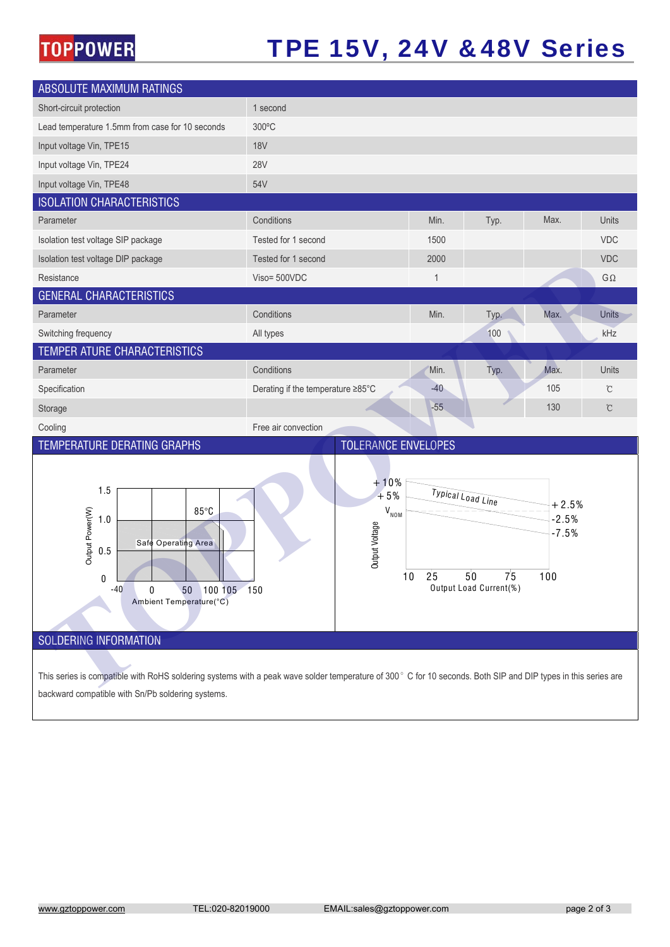### **TOPPOWER**

### TPE 15V, 24V &48V Series

| <b>ABSOLUTE MAXIMUM RATINGS</b>                                                                                                                                                                                    |                                                                     |                                                                                                                         |      |      |               |  |  |  |  |
|--------------------------------------------------------------------------------------------------------------------------------------------------------------------------------------------------------------------|---------------------------------------------------------------------|-------------------------------------------------------------------------------------------------------------------------|------|------|---------------|--|--|--|--|
| Short-circuit protection                                                                                                                                                                                           | 1 second                                                            |                                                                                                                         |      |      |               |  |  |  |  |
| Lead temperature 1.5mm from case for 10 seconds                                                                                                                                                                    | 300°C                                                               |                                                                                                                         |      |      |               |  |  |  |  |
| Input voltage Vin, TPE15                                                                                                                                                                                           | <b>18V</b>                                                          |                                                                                                                         |      |      |               |  |  |  |  |
| Input voltage Vin, TPE24                                                                                                                                                                                           | <b>28V</b>                                                          |                                                                                                                         |      |      |               |  |  |  |  |
| Input voltage Vin, TPE48                                                                                                                                                                                           | 54V                                                                 |                                                                                                                         |      |      |               |  |  |  |  |
| <b>ISOLATION CHARACTERISTICS</b>                                                                                                                                                                                   |                                                                     |                                                                                                                         |      |      |               |  |  |  |  |
| Parameter                                                                                                                                                                                                          | Conditions                                                          | Min.                                                                                                                    | Typ. | Max. | Units         |  |  |  |  |
| Isolation test voltage SIP package                                                                                                                                                                                 | Tested for 1 second                                                 | 1500                                                                                                                    |      |      | VDC           |  |  |  |  |
| Isolation test voltage DIP package                                                                                                                                                                                 | Tested for 1 second                                                 | 2000                                                                                                                    |      |      | VDC           |  |  |  |  |
| Resistance                                                                                                                                                                                                         | Viso= 500VDC                                                        | 1                                                                                                                       |      |      | $G\,\Omega$   |  |  |  |  |
| <b>GENERAL CHARACTERISTICS</b>                                                                                                                                                                                     |                                                                     |                                                                                                                         |      |      |               |  |  |  |  |
| Parameter                                                                                                                                                                                                          | Conditions                                                          | Min.                                                                                                                    | Typ. | Max. | <b>Units</b>  |  |  |  |  |
| Switching frequency                                                                                                                                                                                                | All types                                                           |                                                                                                                         | 100  |      | kHz           |  |  |  |  |
| TEMPER ATURE CHARACTERISTICS                                                                                                                                                                                       |                                                                     |                                                                                                                         |      |      |               |  |  |  |  |
| Parameter                                                                                                                                                                                                          | Conditions                                                          | Min.                                                                                                                    | Typ. | Max. | Units         |  |  |  |  |
| Specification                                                                                                                                                                                                      | Derating if the temperature ≥85°C                                   | $-40$                                                                                                                   |      | 105  | $\mathcal{C}$ |  |  |  |  |
| Storage                                                                                                                                                                                                            |                                                                     | $-55$                                                                                                                   |      | 130  | $\mathbb{C}$  |  |  |  |  |
| Cooling                                                                                                                                                                                                            | Free air convection                                                 |                                                                                                                         |      |      |               |  |  |  |  |
| <b>TEMPERATURE DERATING GRAPHS</b>                                                                                                                                                                                 | <b>TOLERANCE ENVELOPES</b>                                          |                                                                                                                         |      |      |               |  |  |  |  |
| 1.5<br>$85^{\circ}$ C<br>Output Power(W)<br>1.0<br>Safe Operating Area<br>0.5<br>$\theta$<br>$-40$<br>0<br>50 100 105 150<br>Ambient Temperature(°C)<br>SOLDERING INFORMATION                                      | $+10%$<br>$+5%$<br>$\mathsf{V}_{_{\mathsf{NOM}}}$<br>Output Voltage | Typical Load Line<br>$+2.5%$<br>$-2.5%$<br>$-7.5%$<br>7 <sup>5</sup><br>25<br>50<br>100<br>10<br>Output Load Current(%) |      |      |               |  |  |  |  |
| This series is compatible with RoHS soldering systems with a peak wave solder temperature of 300° C for 10 seconds. Both SIP and DIP types in this series are<br>backward compatible with Sn/Pb soldering systems. |                                                                     |                                                                                                                         |      |      |               |  |  |  |  |